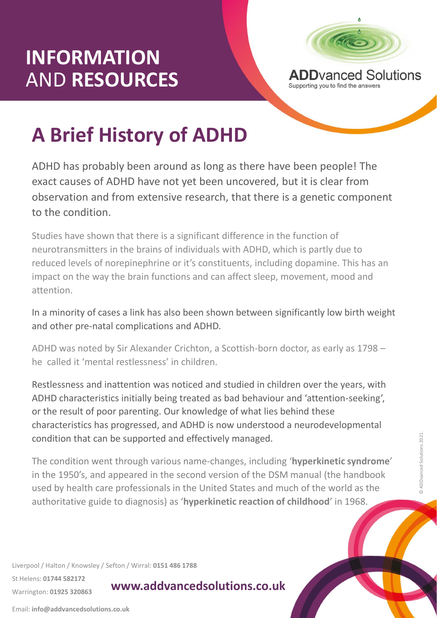## **INFORMATION** AND **RESOURCES**



Supporting you to find the answers

# **A Brief History of ADHD**

ADHD has probably been around as long as there have been people! The exact causes of ADHD have not yet been uncovered, but it is clear from observation and from extensive research, that there is a genetic component to the condition.

Studies have shown that there is a significant difference in the function of neurotransmitters in the brains of individuals with ADHD, which is partly due to reduced levels of norepinephrine or it's constituents, including dopamine. This has an impact on the way the brain functions and can affect sleep, movement, mood and attention.

In a minority of cases a link has also been shown between significantly low birth weight and other pre-natal complications and ADHD.

ADHD was noted by Sir Alexander Crichton, a Scottish-born doctor, as early as 1798 – he called it 'mental restlessness' in children.

Restlessness and inattention was noticed and studied in children over the years, with ADHD characteristics initially being treated as bad behaviour and 'attention-seeking', or the result of poor parenting. Our knowledge of what lies behind these characteristics has progressed, and ADHD is now understood a neurodevelopmental condition that can be supported and effectively managed.

name-cnanges,<br>econd version of<br>the United State The condition went through various name-changes, including '**hyperkinetic syndrome**' in the 1950's, and appeared in the second version of the DSM manual (the handbook used by health care professionals in the United States and much of the world as the authoritative guide to diagnosis) as '**hyperkinetic reaction of childhood**' in 1968.

Liverpool / Halton / Knowsley / Sefton / Wirral: **0151 486 1788**

St Helens: **01744 582172** 

Warrington: **01925 320863**

**www.addvancedsolutions.co.uk**